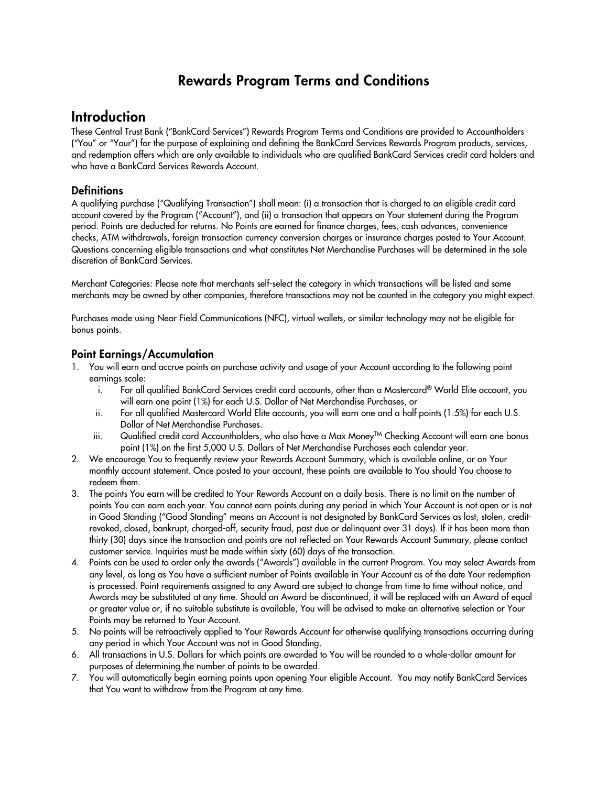## Rewards Program Terms and Conditions

## **Introduction**

These Central Trust Bank ("BankCard Services") Rewards Program Terms and Conditions are provided to Accountholders ("You" or "Your") for the purpose of explaining and defining the BankCard Services Rewards Program products, services, and redemption offers which are only available to individuals who are qualified BankCard Services credit card holders and who have a BankCard Services Rewards Account.

## **Definitions**

A qualifying purchase ("Qualifying Transaction") shall mean: (i) a transaction that is charged to an eligible credit card account covered by the Program ("Account"), and (ii) a transaction that appears on Your statement during the Program period. Points are deducted for returns. No Points are earned for finance charges, fees, cash advances, convenience checks, ATM withdrawals, foreign transaction currency conversion charges or insurance charges posted to Your Account. Questions concerning eligible transactions and what constitutes Net Merchandise Purchases will be determined in the sole discretion of BankCard Services.

Merchant Categories: Please note that merchants self-select the category in which transactions will be listed and some merchants may be owned by other companies, therefore transactions may not be counted in the category you might expect.

Purchases made using Near Field Communications (NFC), virtual wallets, or similar technology may not be eligible for bonus points.

## Point Earnings/Accumulation

- 1. You will earn and accrue points on purchase activity and usage of your Account according to the following point earnings scale:
	- i. For all qualified BankCard Services credit card accounts, other than a Mastercard® World Elite account, you will earn one point (1%) for each U.S. Dollar of Net Merchandise Purchases, or
	- ii. For all qualified Mastercard World Elite accounts, you will earn one and a half points (1.5%) for each U.S. Dollar of Net Merchandise Purchases.
	- iii. Qualified credit card Accountholders, who also have a Max Money $^{TM}$  Checking Account will earn one bonus point (1%) on the first 5,000 U.S. Dollars of Net Merchandise Purchases each calendar year.
- 2. We encourage You to frequently review your Rewards Account Summary, which is available online, or on Your monthly account statement. Once posted to your account, these points are available to You should You choose to redeem them.
- 3. The points You earn will be credited to Your Rewards Account on a daily basis. There is no limit on the number of points You can earn each year. You cannot earn points during any period in which Your Account is not open or is not in Good Standing ("Good Standing" means an Account is not designated by BankCard Services as lost, stolen, creditrevoked, closed, bankrupt, charged-off, security fraud, past due or delinquent over 31 days). If it has been more than thirty (30) days since the transaction and points are not reflected on Your Rewards Account Summary, please contact customer service. Inquiries must be made within sixty (60) days of the transaction.
- 4. Points can be used to order only the awards ("Awards") available in the current Program. You may select Awards from any level, as long as You have a sufficient number of Points available in Your Account as of the date Your redemption is processed. Point requirements assigned to any Award are subject to change from time to time without notice, and Awards may be substituted at any time. Should an Award be discontinued, it will be replaced with an Award of equal or greater value or, if no suitable substitute is available, You will be advised to make an alternative selection or Your Points may be returned to Your Account.
- 5. No points will be retroactively applied to Your Rewards Account for otherwise qualifying transactions occurring during any period in which Your Account was not in Good Standing.
- 6. All transactions in U.S. Dollars for which points are awarded to You will be rounded to a whole-dollar amount for purposes of determining the number of points to be awarded.
- 7. You will automatically begin earning points upon opening Your eligible Account. You may notify BankCard Services that You want to withdraw from the Program at any time.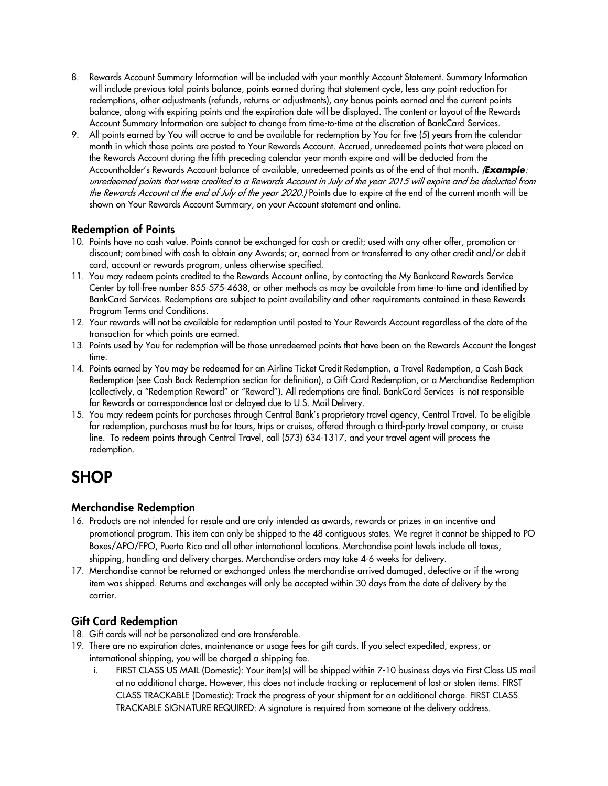- 8. Rewards Account Summary Information will be included with your monthly Account Statement. Summary Information will include previous total points balance, points earned during that statement cycle, less any point reduction for redemptions, other adjustments (refunds, returns or adjustments), any bonus points earned and the current points balance, along with expiring points and the expiration date will be displayed. The content or layout of the Rewards Account Summary Information are subject to change from time-to-time at the discretion of BankCard Services.
- 9. All points earned by You will accrue to and be available for redemption by You for five (5) years from the calendar month in which those points are posted to Your Rewards Account. Accrued, unredeemed points that were placed on the Rewards Account during the fifth preceding calendar year month expire and will be deducted from the Accountholder's Rewards Account balance of available, unredeemed points as of the end of that month. (*Example*: unredeemed points that were credited to a Rewards Account in July of the year 2015 will expire and be deducted from the Rewards Account at the end of July of the year 2020.) Points due to expire at the end of the current month will be shown on Your Rewards Account Summary, on your Account statement and online.

## Redemption of Points

- 10. Points have no cash value. Points cannot be exchanged for cash or credit; used with any other offer, promotion or discount; combined with cash to obtain any Awards; or, earned from or transferred to any other credit and/or debit card, account or rewards program, unless otherwise specified.
- 11. You may redeem points credited to the Rewards Account online, by contacting the My Bankcard Rewards Service Center by toll-free number 855-575-4638, or other methods as may be available from time-to-time and identified by BankCard Services. Redemptions are subject to point availability and other requirements contained in these Rewards Program Terms and Conditions.
- 12. Your rewards will not be available for redemption until posted to Your Rewards Account regardless of the date of the transaction for which points are earned.
- 13. Points used by You for redemption will be those unredeemed points that have been on the Rewards Account the longest time.
- 14. Points earned by You may be redeemed for an Airline Ticket Credit Redemption, a Travel Redemption, a Cash Back Redemption (see Cash Back Redemption section for definition), a Gift Card Redemption, or a Merchandise Redemption (collectively, a "Redemption Reward" or "Reward"). All redemptions are final. BankCard Services is not responsible for Rewards or correspondence lost or delayed due to U.S. Mail Delivery.
- 15. You may redeem points for purchases through Central Bank's proprietary travel agency, Central Travel. To be eligible for redemption, purchases must be for tours, trips or cruises, offered through a third-party travel company, or cruise line. To redeem points through Central Travel, call (573) 634-1317, and your travel agent will process the redemption.

# **SHOP**

## Merchandise Redemption

- 16. Products are not intended for resale and are only intended as awards, rewards or prizes in an incentive and promotional program. This item can only be shipped to the 48 contiguous states. We regret it cannot be shipped to PO Boxes/APO/FPO, Puerto Rico and all other international locations. Merchandise point levels include all taxes, shipping, handling and delivery charges. Merchandise orders may take 4-6 weeks for delivery.
- 17. Merchandise cannot be returned or exchanged unless the merchandise arrived damaged, defective or if the wrong item was shipped. Returns and exchanges will only be accepted within 30 days from the date of delivery by the carrier.

## Gift Card Redemption

- 18. Gift cards will not be personalized and are transferable.
- 19. There are no expiration dates, maintenance or usage fees for gift cards. If you select expedited, express, or international shipping, you will be charged a shipping fee.
	- i. FIRST CLASS US MAIL (Domestic): Your item(s) will be shipped within 7-10 business days via First Class US mail at no additional charge. However, this does not include tracking or replacement of lost or stolen items. FIRST CLASS TRACKABLE (Domestic): Track the progress of your shipment for an additional charge. FIRST CLASS TRACKABLE SIGNATURE REQUIRED: A signature is required from someone at the delivery address.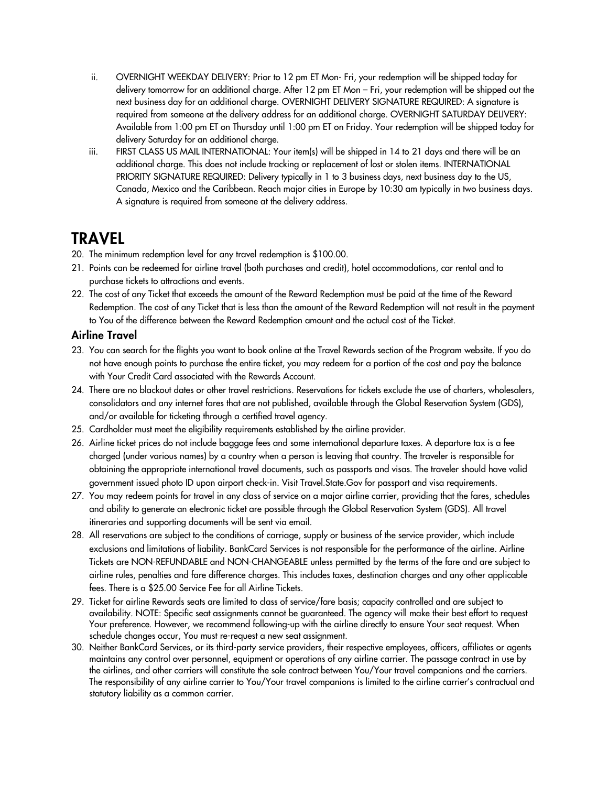- ii. OVERNIGHT WEEKDAY DELIVERY: Prior to 12 pm ET Mon- Fri, your redemption will be shipped today for delivery tomorrow for an additional charge. After 12 pm ET Mon – Fri, your redemption will be shipped out the next business day for an additional charge. OVERNIGHT DELIVERY SIGNATURE REQUIRED: A signature is required from someone at the delivery address for an additional charge. OVERNIGHT SATURDAY DELIVERY: Available from 1:00 pm ET on Thursday until 1:00 pm ET on Friday. Your redemption will be shipped today for delivery Saturday for an additional charge.
- iii. FIRST CLASS US MAIL INTERNATIONAL: Your item(s) will be shipped in 14 to 21 days and there will be an additional charge. This does not include tracking or replacement of lost or stolen items. INTERNATIONAL PRIORITY SIGNATURE REQUIRED: Delivery typically in 1 to 3 business days, next business day to the US, Canada, Mexico and the Caribbean. Reach major cities in Europe by 10:30 am typically in two business days. A signature is required from someone at the delivery address.

## **TRAVEL**

- 20. The minimum redemption level for any travel redemption is \$100.00.
- 21. Points can be redeemed for airline travel (both purchases and credit), hotel accommodations, car rental and to purchase tickets to attractions and events.
- 22. The cost of any Ticket that exceeds the amount of the Reward Redemption must be paid at the time of the Reward Redemption. The cost of any Ticket that is less than the amount of the Reward Redemption will not result in the payment to You of the difference between the Reward Redemption amount and the actual cost of the Ticket.

### Airline Travel

- 23. You can search for the flights you want to book online at the Travel Rewards section of the Program website. If you do not have enough points to purchase the entire ticket, you may redeem for a portion of the cost and pay the balance with Your Credit Card associated with the Rewards Account.
- 24. There are no blackout dates or other travel restrictions. Reservations for tickets exclude the use of charters, wholesalers, consolidators and any internet fares that are not published, available through the Global Reservation System (GDS), and/or available for ticketing through a certified travel agency.
- 25. Cardholder must meet the eligibility requirements established by the airline provider.
- 26. Airline ticket prices do not include baggage fees and some international departure taxes. A departure tax is a fee charged (under various names) by a country when a person is leaving that country. The traveler is responsible for obtaining the appropriate international travel documents, such as passports and visas. The traveler should have valid government issued photo ID upon airport check-in. Visit Travel.State.Gov for passport and visa requirements.
- 27. You may redeem points for travel in any class of service on a major airline carrier, providing that the fares, schedules and ability to generate an electronic ticket are possible through the Global Reservation System (GDS). All travel itineraries and supporting documents will be sent via email.
- 28. All reservations are subject to the conditions of carriage, supply or business of the service provider, which include exclusions and limitations of liability. BankCard Services is not responsible for the performance of the airline. Airline Tickets are NON-REFUNDABLE and NON-CHANGEABLE unless permitted by the terms of the fare and are subject to airline rules, penalties and fare difference charges. This includes taxes, destination charges and any other applicable fees. There is a \$25.00 Service Fee for all Airline Tickets.
- 29. Ticket for airline Rewards seats are limited to class of service/fare basis; capacity controlled and are subject to availability. NOTE: Specific seat assignments cannot be guaranteed. The agency will make their best effort to request Your preference. However, we recommend following-up with the airline directly to ensure Your seat request. When schedule changes occur, You must re-request a new seat assignment.
- 30. Neither BankCard Services, or its third-party service providers, their respective employees, officers, affiliates or agents maintains any control over personnel, equipment or operations of any airline carrier. The passage contract in use by the airlines, and other carriers will constitute the sole contract between You/Your travel companions and the carriers. The responsibility of any airline carrier to You/Your travel companions is limited to the airline carrier's contractual and statutory liability as a common carrier.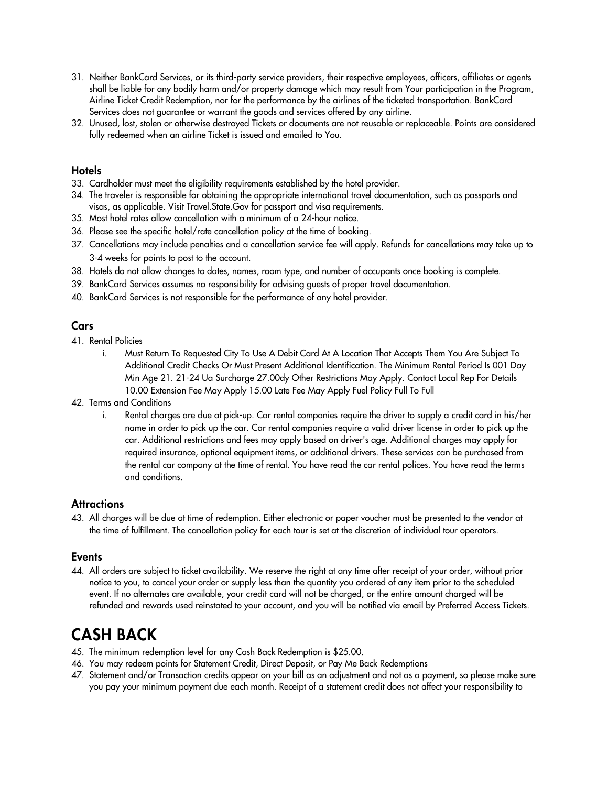- 31. Neither BankCard Services, or its third-party service providers, their respective employees, officers, affiliates or agents shall be liable for any bodily harm and/or property damage which may result from Your participation in the Program, Airline Ticket Credit Redemption, nor for the performance by the airlines of the ticketed transportation. BankCard Services does not guarantee or warrant the goods and services offered by any airline.
- 32. Unused, lost, stolen or otherwise destroyed Tickets or documents are not reusable or replaceable. Points are considered fully redeemed when an airline Ticket is issued and emailed to You.

#### **Hotels**

- 33. Cardholder must meet the eligibility requirements established by the hotel provider.
- 34. The traveler is responsible for obtaining the appropriate international travel documentation, such as passports and visas, as applicable. Visit Travel.State.Gov for passport and visa requirements.
- 35. Most hotel rates allow cancellation with a minimum of a 24-hour notice.
- 36. Please see the specific hotel/rate cancellation policy at the time of booking.
- 37. Cancellations may include penalties and a cancellation service fee will apply. Refunds for cancellations may take up to 3-4 weeks for points to post to the account.
- 38. Hotels do not allow changes to dates, names, room type, and number of occupants once booking is complete.
- 39. BankCard Services assumes no responsibility for advising guests of proper travel documentation.
- 40. BankCard Services is not responsible for the performance of any hotel provider.

#### **Cars**

- 41. Rental Policies
	- i. Must Return To Requested City To Use A Debit Card At A Location That Accepts Them You Are Subject To Additional Credit Checks Or Must Present Additional Identification. The Minimum Rental Period Is 001 Day Min Age 21. 21-24 Ua Surcharge 27.00dy Other Restrictions May Apply. Contact Local Rep For Details 10.00 Extension Fee May Apply 15.00 Late Fee May Apply Fuel Policy Full To Full
- 42. Terms and Conditions
	- i. Rental charges are due at pick-up. Car rental companies require the driver to supply a credit card in his/her name in order to pick up the car. Car rental companies require a valid driver license in order to pick up the car. Additional restrictions and fees may apply based on driver's age. Additional charges may apply for required insurance, optional equipment items, or additional drivers. These services can be purchased from the rental car company at the time of rental. You have read the car rental polices. You have read the terms and conditions.

#### **Attractions**

43. All charges will be due at time of redemption. Either electronic or paper voucher must be presented to the vendor at the time of fulfillment. The cancellation policy for each tour is set at the discretion of individual tour operators.

#### **Events**

44. All orders are subject to ticket availability. We reserve the right at any time after receipt of your order, without prior notice to you, to cancel your order or supply less than the quantity you ordered of any item prior to the scheduled event. If no alternates are available, your credit card will not be charged, or the entire amount charged will be refunded and rewards used reinstated to your account, and you will be notified via email by Preferred Access Tickets.

## CASH BACK

- 45. The minimum redemption level for any Cash Back Redemption is \$25.00.
- 46. You may redeem points for Statement Credit, Direct Deposit, or Pay Me Back Redemptions
- 47. Statement and/or Transaction credits appear on your bill as an adjustment and not as a payment, so please make sure you pay your minimum payment due each month. Receipt of a statement credit does not affect your responsibility to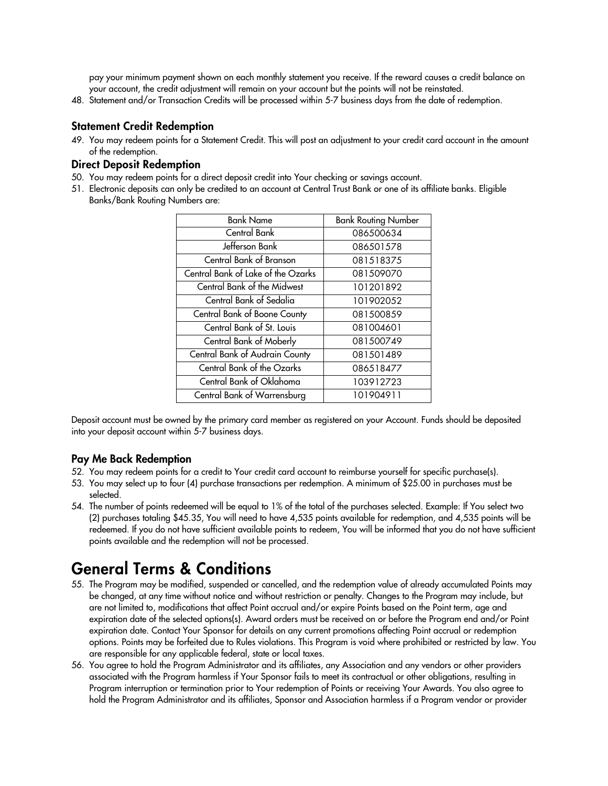pay your minimum payment shown on each monthly statement you receive. If the reward causes a credit balance on your account, the credit adjustment will remain on your account but the points will not be reinstated.

48. Statement and/or Transaction Credits will be processed within 5-7 business days from the date of redemption.

#### Statement Credit Redemption

49. You may redeem points for a Statement Credit. This will post an adjustment to your credit card account in the amount of the redemption.

#### Direct Deposit Redemption

- 50. You may redeem points for a direct deposit credit into Your checking or savings account.
- 51. Electronic deposits can only be credited to an account at Central Trust Bank or one of its affiliate banks. Eligible Banks/Bank Routing Numbers are:

| <b>Bank Name</b>                   | <b>Bank Routing Number</b> |
|------------------------------------|----------------------------|
| Central Bank                       | 086500634                  |
| Jefferson Bank                     | 086501578                  |
| Central Bank of Branson            | 081518375                  |
| Central Bank of Lake of the Ozarks | 081509070                  |
| Central Bank of the Midwest        | 101201892                  |
| Central Bank of Sedalia            | 101902052                  |
| Central Bank of Boone County       | 081500859                  |
| Central Bank of St. Louis          | 081004601                  |
| Central Bank of Moberly            | 081500749                  |
| Central Bank of Audrain County     | 081501489                  |
| <b>Central Bank of the Ozarks</b>  | 086518477                  |
| Central Bank of Oklahoma           | 103912723                  |
| Central Bank of Warrensburg        | 101904911                  |

Deposit account must be owned by the primary card member as registered on your Account. Funds should be deposited into your deposit account within 5-7 business days.

#### Pay Me Back Redemption

- 52. You may redeem points for a credit to Your credit card account to reimburse yourself for specific purchase(s).
- 53. You may select up to four (4) purchase transactions per redemption. A minimum of \$25.00 in purchases must be selected.
- 54. The number of points redeemed will be equal to 1% of the total of the purchases selected. Example: If You select two (2) purchases totaling \$45.35, You will need to have 4,535 points available for redemption, and 4,535 points will be redeemed. If you do not have sufficient available points to redeem, You will be informed that you do not have sufficient points available and the redemption will not be processed.

# General Terms & Conditions

- 55. The Program may be modified, suspended or cancelled, and the redemption value of already accumulated Points may be changed, at any time without notice and without restriction or penalty. Changes to the Program may include, but are not limited to, modifications that affect Point accrual and/or expire Points based on the Point term, age and expiration date of the selected options(s). Award orders must be received on or before the Program end and/or Point expiration date. Contact Your Sponsor for details on any current promotions affecting Point accrual or redemption options. Points may be forfeited due to Rules violations. This Program is void where prohibited or restricted by law. You are responsible for any applicable federal, state or local taxes.
- 56. You agree to hold the Program Administrator and its affiliates, any Association and any vendors or other providers associated with the Program harmless if Your Sponsor fails to meet its contractual or other obligations, resulting in Program interruption or termination prior to Your redemption of Points or receiving Your Awards. You also agree to hold the Program Administrator and its affiliates, Sponsor and Association harmless if a Program vendor or provider